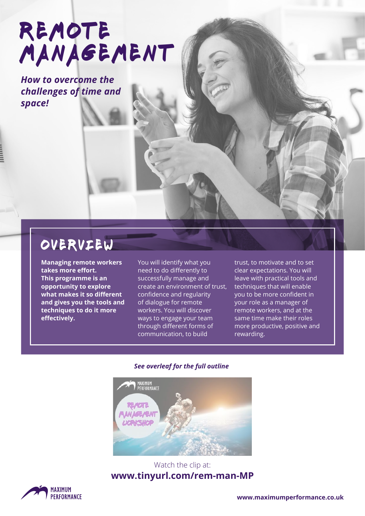# REMOTE MANAGEMENT

*How to overcome the challenges of time and space!*

### overview

**Managing remote workers takes more effort. This programme is an opportunity to explore what makes it so different and gives you the tools and techniques to do it more effectively.**

You will identify what you need to do differently to successfully manage and create an environment of trust, confidence and regularity of dialogue for remote workers. You will discover ways to engage your team through different forms of communication, to build

trust, to motivate and to set clear expectations. You will leave with practical tools and techniques that will enable you to be more confident in your role as a manager of remote workers, and at the same time make their roles more productive, positive and rewarding.

#### *See overleaf for the full outline*



#### Watch the clip at: **www.tinyurl.com/rem-man-MP**